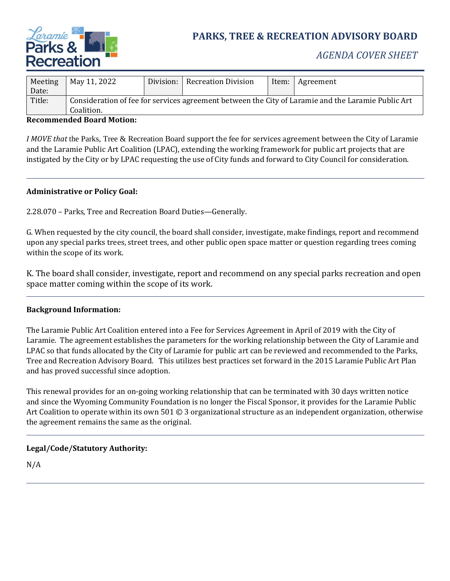

# **PARKS, TREE & RECREATION ADVISORY BOARD**

## *AGENDA COVER SHEET*

| Meeting | May 11, 2022                                                                                       | Division: | <b>Recreation Division</b> | Item: | Agreement |  |  |
|---------|----------------------------------------------------------------------------------------------------|-----------|----------------------------|-------|-----------|--|--|
| Date:   |                                                                                                    |           |                            |       |           |  |  |
| Title:  | Consideration of fee for services agreement between the City of Laramie and the Laramie Public Art |           |                            |       |           |  |  |
|         | Coalition.                                                                                         |           |                            |       |           |  |  |

#### **Recommended Board Motion:**

*I MOVE that* the Parks, Tree & Recreation Board support the fee for services agreement between the City of Laramie and the Laramie Public Art Coalition (LPAC), extending the working framework for public art projects that are instigated by the City or by LPAC requesting the use of City funds and forward to City Council for consideration.

#### **Administrative or Policy Goal:**

2.28.070 – Parks, Tree and Recreation Board Duties—Generally.

G. When requested by the city council, the board shall consider, investigate, make findings, report and recommend upon any special parks trees, street trees, and other public open space matter or question regarding trees coming within the scope of its work.

K. The board shall consider, investigate, report and recommend on any special parks recreation and open space matter coming within the scope of its work.

#### **Background Information:**

The Laramie Public Art Coalition entered into a Fee for Services Agreement in April of 2019 with the City of Laramie. The agreement establishes the parameters for the working relationship between the City of Laramie and LPAC so that funds allocated by the City of Laramie for public art can be reviewed and recommended to the Parks, Tree and Recreation Advisory Board. This utilizes best practices set forward in the 2015 Laramie Public Art Plan and has proved successful since adoption.

This renewal provides for an on-going working relationship that can be terminated with 30 days written notice and since the Wyoming Community Foundation is no longer the Fiscal Sponsor, it provides for the Laramie Public Art Coalition to operate within its own 501 © 3 organizational structure as an independent organization, otherwise the agreement remains the same as the original.

#### **Legal/Code/Statutory Authority:**

N/A